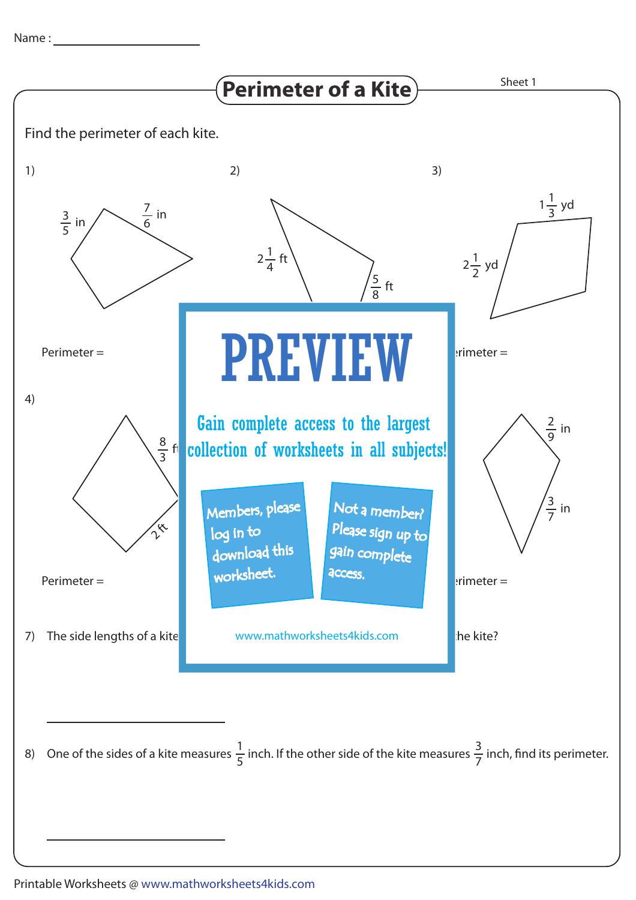